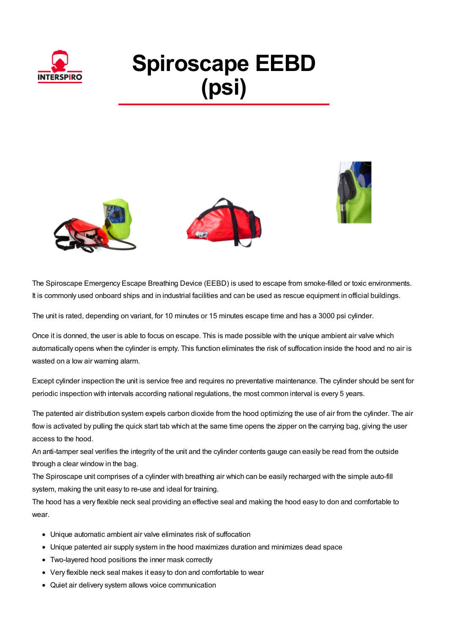

## **Spiroscape EEBD (psi)**





The Spiroscape Emergency Escape Breathing Device (EEBD) is used to escape from smoke-filled or toxic environments. It is commonly used onboard ships and in industrial facilities and can be used as rescue equipment in official buildings.

The unit is rated, depending on variant, for 10 minutes or 15 minutes escape time and has a 3000 psi cylinder.

Once it is donned, the user is able to focus on escape. This is made possible with the unique ambient air valve which automatically opens when the cylinder is empty. This function eliminates the risk of suffocation inside the hood and no air is wasted on a low air warning alarm.

Except cylinder inspection the unit is service free and requires no preventative maintenance. The cylinder should be sent for periodic inspection with intervals according national regulations, the most common interval is every 5 years.

The patented air distribution system expels carbon dioxide from the hood optimizing the use of air from the cylinder. The air flow is activated by pulling the quick start tab which at the same time opens the zipper on the carrying bag, giving the user access to the hood.

An anti-tamper seal verifies the integrity of the unit and the cylinder contents gauge can easily be read from the outside through a clear window in the bag.

The Spiroscape unit comprises of a cylinder with breathing air which can be easily recharged with the simple auto-fill system, making the unit easy to re-use and ideal for training.

The hood has a very flexible neck seal providing an effective seal and making the hood easy to don and comfortable to wear.

- Unique automatic ambient air valve eliminates risk of suffocation
- Unique patented air supply system in the hood maximizes duration and minimizes dead space
- Two-layered hood positions the inner mask correctly
- Very flexible neck seal makes it easy to don and comfortable to wear
- Quiet air delivery system allows voice communication